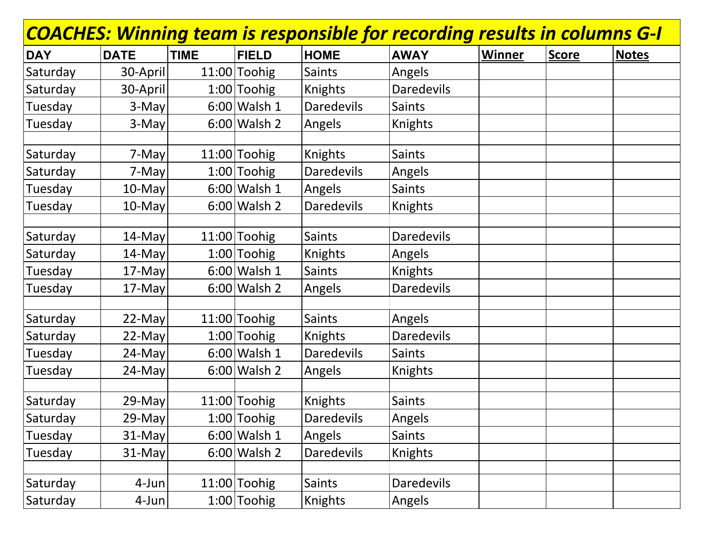| <b>COACHES: Winning team is responsible for recording results in columns G-I</b> |             |             |                |                   |                   |        |              |              |  |  |  |
|----------------------------------------------------------------------------------|-------------|-------------|----------------|-------------------|-------------------|--------|--------------|--------------|--|--|--|
| <b>DAY</b>                                                                       | <b>DATE</b> | <b>TIME</b> | <b>FIELD</b>   | <b>HOME</b>       | <b>AWAY</b>       | Winner | <b>Score</b> | <b>Notes</b> |  |  |  |
| Saturday                                                                         | 30-April    |             | $11:00$ Toohig | <b>Saints</b>     | Angels            |        |              |              |  |  |  |
| Saturday                                                                         | 30-April    |             | $1:00$ Toohig  | Knights           | <b>Daredevils</b> |        |              |              |  |  |  |
| Tuesday                                                                          | 3-May       |             | $6:00$ Walsh 1 | <b>Daredevils</b> | <b>Saints</b>     |        |              |              |  |  |  |
| Tuesday                                                                          | $3$ -May    |             | $6:00$ Walsh 2 | Angels            | <b>Knights</b>    |        |              |              |  |  |  |
|                                                                                  |             |             |                |                   |                   |        |              |              |  |  |  |
| Saturday                                                                         | 7-May       |             | 11:00 Toohig   | Knights           | <b>Saints</b>     |        |              |              |  |  |  |
| Saturday                                                                         | 7-May       |             | $1:00$ Toohig  | <b>Daredevils</b> | Angels            |        |              |              |  |  |  |
| Tuesday                                                                          | $10$ -May   |             | $6:00$ Walsh 1 | Angels            | <b>Saints</b>     |        |              |              |  |  |  |
| Tuesday                                                                          | $10$ -May   |             | $6:00$ Walsh 2 | <b>Daredevils</b> | <b>Knights</b>    |        |              |              |  |  |  |
|                                                                                  |             |             |                |                   |                   |        |              |              |  |  |  |
| Saturday                                                                         | $14$ -May   |             | $11:00$ Toohig | <b>Saints</b>     | <b>Daredevils</b> |        |              |              |  |  |  |
| Saturday                                                                         | $14$ -May   |             | $1:00$ Toohig  | <b>Knights</b>    | Angels            |        |              |              |  |  |  |
| Tuesday                                                                          | $17$ -May   |             | $6:00$ Walsh 1 | <b>Saints</b>     | Knights           |        |              |              |  |  |  |
| Tuesday                                                                          | 17-May      |             | $6:00$ Walsh 2 | Angels            | <b>Daredevils</b> |        |              |              |  |  |  |
|                                                                                  |             |             |                |                   |                   |        |              |              |  |  |  |
| Saturday                                                                         | $22$ -May   |             | $11:00$ Toohig | <b>Saints</b>     | Angels            |        |              |              |  |  |  |
| Saturday                                                                         | $22$ -May   |             | $1:00$ Toohig  | Knights           | <b>Daredevils</b> |        |              |              |  |  |  |
| Tuesday                                                                          | 24-May      |             | $6:00$ Walsh 1 | <b>Daredevils</b> | <b>Saints</b>     |        |              |              |  |  |  |
| Tuesday                                                                          | 24-May      |             | $6:00$ Walsh 2 | Angels            | Knights           |        |              |              |  |  |  |
|                                                                                  |             |             |                |                   |                   |        |              |              |  |  |  |
| Saturday                                                                         | 29-May      |             | $11:00$ Toohig | Knights           | Saints            |        |              |              |  |  |  |
| Saturday                                                                         | $29$ -May   |             | $1:00$ Toohig  | Daredevils        | Angels            |        |              |              |  |  |  |
| Tuesday                                                                          | $31$ -May   |             | $6:00$ Walsh 1 | Angels            | <b>Saints</b>     |        |              |              |  |  |  |
| Tuesday                                                                          | $31$ -May   |             | $6:00$ Walsh 2 | <b>Daredevils</b> | Knights           |        |              |              |  |  |  |
|                                                                                  |             |             |                |                   |                   |        |              |              |  |  |  |
| Saturday                                                                         | $4$ -Jun    |             | 11:00 Toohig   | <b>Saints</b>     | <b>Daredevils</b> |        |              |              |  |  |  |
| Saturday                                                                         | $4$ -Jun    |             | $1:00$ Toohig  | <b>Knights</b>    | Angels            |        |              |              |  |  |  |